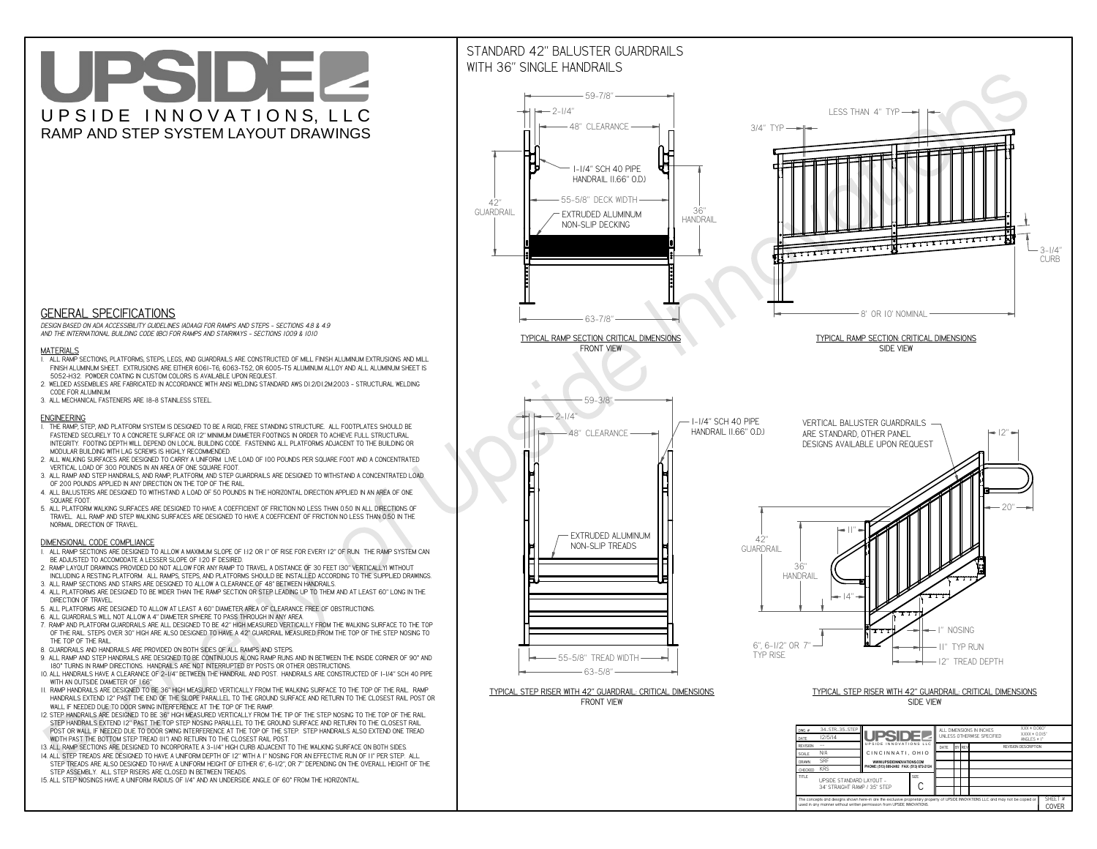**used in any manner without written permission from UPSIDE INNOVATIONS.**

# UPSIDEL UPSIDE INNOVATIONS, LLC RAMP AND STEP SYSTEM LAYOUT DRAWINGS



The concepts and designs shown here-in are the exclusive proprietary property of UPSIDE INNOVATIONS LLC. and may not be copied o

**H** 

SHEET #**COVER**

34' STRAIGHT RAMP / 35" STEP

# WITH 36" SINGLE HANDRAILS



 *DESIGN BASED ON ADA ACCESSIBILITY GUIDELINES (ADAAG) FOR RAMPS AND STEPS - SECTIONS 4.8 & 4.9AND THE INTERNATIONAL BUILDING CODE (IBC) FOR RAMPS AND STAIRWAYS - SECTIONS 1009 & 1010*

### **MATERIALS**

- **1. ALL RAMP SECTIONS, PLATFORMS, STEPS, LEGS, AND GUARDRAILS ARE CONSTRUCTED OF MILL FINISH ALUMINUM EXTRUSIONS AND MILL FINISH ALUMINUM SHEET. EXTRUSIONS ARE EITHER 6061-T6, 6063-T52, OR 6005-T5 ALUMINUM ALLOY AND ALL ALUMINUM SHEET IS 5052-H32. POWDER COATING IN CUSTOM COLORS IS AVAILABLE UPON REQUEST.**
- **2. WELDED ASSEMBLIES ARE FABRICATED IN ACCORDANCE WITH ANSI WELDING STANDARD AWS D1.2/D1.2M:2003 STRUCTURAL WELDING CODE FOR ALUMINUM.**
- **3. ALL MECHANICAL FASTENERS ARE 18-8 STAINLESS STEEL.**

#### **ENGINEERING**

- **1. THE RAMP, STEP, AND PLATFORM SYSTEM IS DESIGNED TO BE A RIGID, FREE STANDING STRUCTURE. ALL FOOTPLATES SHOULD BE FASTENED SECURELY TO A CONCRETE SURFACE OR 12" MINIMUM DIAMETER FOOTINGS IN ORDER TO ACHIEVE FULL STRUCTURAL INTEGRITY. FOOTING DEPTH WILL DEPEND ON LOCAL BUILDING CODE. FASTENING ALL PLATFORMS ADJACENT TO THE BUILDING OR MODULAR BUILDING WITH LAG SCREWS IS HIGHLY RECOMMENDED.**
- **2. ALL WALKING SURFACES ARE DESIGNED TO CARRY A UNIFORM LIVE LOAD OF 100 POUNDS PER SQUARE FOOT AND A CONCENTRATED VERTICAL LOAD OF 300 POUNDS IN AN AREA OF ONE SQUARE FOOT.**
- **3. ALL RAMP AND STEP HANDRAILS, AND RAMP, PLATFORM, AND STEP GUARDRAILS ARE DESIGNED TO WITHSTAND A CONCENTRATED LOAD OF 200 POUNDS APPLIED IN ANY DIRECTION ON THE TOP OF THE RAIL.**
- **4. ALL BALUSTERS ARE DESIGNED TO WITHSTAND A LOAD OF 50 POUNDS IN THE HORIZONTAL DIRECTION APPLIED IN AN AREA OF ONE SQUARE FOOT.**
- **5. ALL PLATFORM WALKING SURFACES ARE DESIGNED TO HAVE A COEFFICIENT OF FRICTION NO LESS THAN 0.50 IN ALL DIRECTIONS OF TRAVEL. ALL RAMP AND STEP WALKING SURFACES ARE DESIGNED TO HAVE A COEFFICIENT OF FRICTION NO LESS THAN 0.50 IN THE NORMAL DIRECTION OF TRAVEL.**

### **DIMENSIONAL CODE COMPLIANCE**

- **1. ALL RAMP SECTIONS ARE DESIGNED TO ALLOW A MAXIMUM SLOPE OF 1:12 OR 1" OF RISE FOR EVERY 12" OF RUN. THE RAMP SYSTEM CAN BE ADJUSTED TO ACCOMODATE A LESSER SLOPE OF 1:20 IF DESIRED.**
- **2. RAMP LAYOUT DRAWINGS PROVIDED DO NOT ALLOW FOR ANY RAMP TO TRAVEL A DISTANCE OF 30 FEET (30" VERTICALLY) WITHOUT INCLUDING A RESTING PLATFORM. ALL RAMPS, STEPS, AND PLATFORMS SHOULD BE INSTALLED ACCORDING TO THE SUPPLIED DRAWINGS.**
- **3. ALL RAMP SECTIONS AND STAIRS ARE DESIGNED TO ALLOW A CLEARANCE OF 48" BETWEEN HANDRAILS.**
- **4. ALL PLATFORMS ARE DESIGNED TO BE WIDER THAN THE RAMP SECTION OR STEP LEADING UP TO THEM AND AT LEAST 60" LONG IN THE DIRECTION OF TRAVEL.**
- **5. ALL PLATFORMS ARE DESIGNED TO ALLOW AT LEAST A 60" DIAMETER AREA OF CLEARANCE FREE OF OBSTRUCTIONS.**
- **6. ALL GUARDRAILS WILL NOT ALLOW A 4" DIAMETER SPHERE TO PASS THROUGH IN ANY AREA.**
- **7. RAMP AND PLATFORM GUARDRAILS ARE ALL DESIGNED TO BE 42" HIGH MEASURED VERTICALLY FROM THE WALKING SURFACE TO THE TOP OF THE RAIL. STEPS OVER 30" HIGH ARE ALSO DESIGNED TO HAVE A 42" GUARDRAIL MEASURED FROM THE TOP OF THE STEP NOSING TO THE TOP OF THE RAIL.**
- **8. GUARDRAILS AND HANDRAILS ARE PROVIDED ON BOTH SIDES OF ALL RAMPS AND STEPS.**
- **9. ALL RAMP AND STEP HANDRAILS ARE DESIGNED TO BE CONTINUOUS ALONG RAMP RUNS AND IN BETWEEN THE INSIDE CORNER OF 90° AND 180° TURNS IN RAMP DIRECTIONS. HANDRAILS ARE NOT INTERRUPTED BY POSTS OR OTHER OBSTRUCTIONS.**
- **10. ALL HANDRAILS HAVE A CLEARANCE OF 2-1/4" BETWEEN THE HANDRAIL AND POST. HANDRAILS ARE CONSTRUCTED OF 1-1/4" SCH 40 PIPE WITH AN OUTSIDE DIAMETER OF 1.66"**
- **11. RAMP HANDRAILS ARE DESIGNED TO BE 36" HIGH MEASURED VERTICALLY FROM THE WALKING SURFACE TO THE TOP OF THE RAIL. RAMP HANDRAILS EXTEND 12" PAST THE END OF THE SLOPE PARALLEL TO THE GROUND SURFACE AND RETURN TO THE CLOSEST RAIL POST OR WALL IF NEEDED DUE TO DOOR SWING INTERFERENCE AT THE TOP OF THE RAMP.**
- **12. STEP HANDRAILS ARE DESIGNED TO BE 36" HIGH MEASURED VERTICALLY FROM THE TIP OF THE STEP NOSING TO THE TOP OF THE RAIL. STEP HANDRAILS EXTEND 12" PAST THE TOP STEP NOSING PARALLEL TO THE GROUND SURFACE AND RETURN TO THE CLOSEST RAIL POST OR WALL IF NEEDED DUE TO DOOR SWING INTERFERENCE AT THE TOP OF THE STEP. STEP HANDRAILS ALSO EXTEND ONE TREAD WIDTH PAST THE BOTTOM STEP TREAD (11") AND RETURN TO THE CLOSEST RAIL POST.**
- **13. ALL RAMP SECTIONS ARE DESIGNED TO INCORPORATE A 3-1/4" HIGH CURB ADJACENT TO THE WALKING SURFACE ON BOTH SIDES.**
- **14. ALL STEP TREADS ARE DESIGNED TO HAVE A UNIFORM DEPTH OF 12" WITH A 1" NOSING FOR AN EFFECTIVE RUN OF 11" PER STEP. ALL**
- **STEP TREADS ARE ALSO DESIGNED TO HAVE A UNIFORM HEIGHT OF EITHER 6", 6-1/2", OR 7" DEPENDING ON THE OVERALL HEIGHT OF THE STEP ASSEMBLY. ALL STEP RISERS ARE CLOSED IN BETWEEN TREADS.**
- **15. ALL STEP NOSINGS HAVE A UNIFORM RADIUS OF 1/4" AND AN UNDERSIDE ANGLE OF 60° FROM THE HORIZONTAL.**